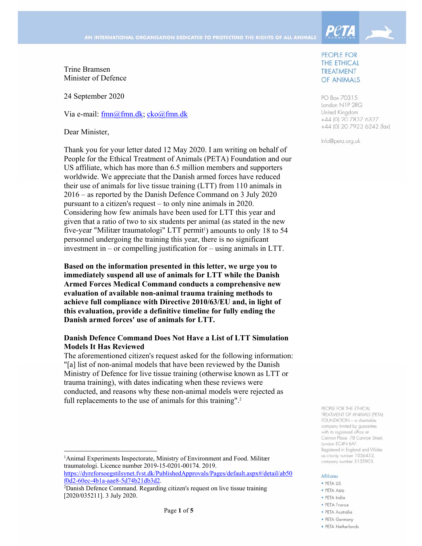

Trine Bramsen Minister of Defence

24 September 2020

Via e-mail: fmn@fmn.dk; cko@fmn.dk

Dear Minister,

Thank you for your letter dated 12 May 2020. I am writing on behalf of People for the Ethical Treatment of Animals (PETA) Foundation and our US affiliate, which has more than 6.5 million members and supporters worldwide. We appreciate that the Danish armed forces have reduced their use of animals for live tissue training (LTT) from 110 animals in 2016 – as reported by the Danish Defence Command on 3 July 2020 pursuant to a citizen's request – to only nine animals in 2020. Considering how few animals have been used for LTT this year and given that a ratio of two to six students per animal (as stated in the new five-year "Militær traumatologi" LTT permit<sup>1</sup>) amounts to only 18 to 54 personnel undergoing the training this year, there is no significant investment in – or compelling justification for – using animals in LTT.

**Based on the information presented in this letter, we urge you to immediately suspend all use of animals for LTT while the Danish Armed Forces Medical Command conducts a comprehensive new evaluation of available non-animal trauma training methods to achieve full compliance with Directive 2010/63/EU and, in light of this evaluation, provide a definitive timeline for fully ending the Danish armed forces' use of animals for LTT.** 

#### **Danish Defence Command Does Not Have a List of LTT Simulation Models It Has Reviewed**

The aforementioned citizen's request asked for the following information: "[a] list of non-animal models that have been reviewed by the Danish Ministry of Defence for live tissue training (otherwise known as LTT or trauma training), with dates indicating when these reviews were conducted, and reasons why these non-animal models were rejected as full replacements to the use of animals for this training".<sup>2</sup>

 <sup>1</sup> Animal Experiments Inspectorate, Ministry of Environment and Food. Militær traumatologi. Licence number 2019-15-0201-00174. 2019.

https://dyreforsoegstilsynet.fvst.dk/PublishedApprovals/Pages/default.aspx#/detail/ab50 f0d2-60ec-4b1a-aae8-5d74b21db3d2. 2

#### PEOPLE FOR THE ETHICAL **TREATMENT** OF ANIMALS

PO Box 70315 London N1P 2RG United Kingdom +44 (0) 20 7837 6327 +44 (0) 20 7923 6242 (fax)

Info@peta.org.uk

PEOPLE FOR THE FTHICAL TREATMENT OF ANIMALS (PETA) FOUNDATION - a charitable company limited by guarantee, with its registered office at Cannon Place, 78 Cannon Street, London EC4N 6AF. Registered in England and Wales as charity number 1056453, company number 3135903.

#### **Affiliates**

- · PETA US
- · PETA Asia
- · PETA India
- PETA France
- · PETA Australia · PETA Germany
- · PFTA Netherlands

Danish Defence Command. Regarding citizen's request on live tissue training [2020/035211]. 3 July 2020.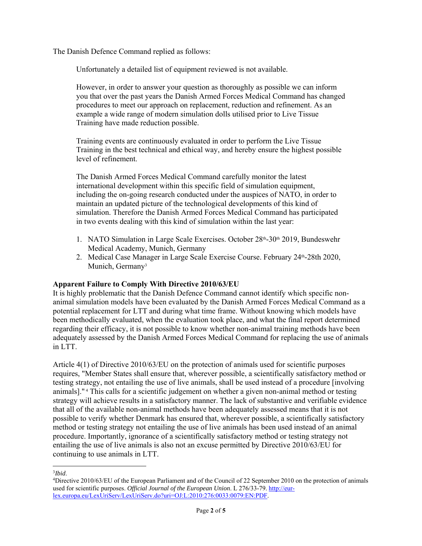The Danish Defence Command replied as follows:

Unfortunately a detailed list of equipment reviewed is not available.

However, in order to answer your question as thoroughly as possible we can inform you that over the past years the Danish Armed Forces Medical Command has changed procedures to meet our approach on replacement, reduction and refinement. As an example a wide range of modern simulation dolls utilised prior to Live Tissue Training have made reduction possible.

Training events are continuously evaluated in order to perform the Live Tissue Training in the best technical and ethical way, and hereby ensure the highest possible level of refinement.

The Danish Armed Forces Medical Command carefully monitor the latest international development within this specific field of simulation equipment, including the on-going research conducted under the auspices of NATO, in order to maintain an updated picture of the technological developments of this kind of simulation. Therefore the Danish Armed Forces Medical Command has participated in two events dealing with this kind of simulation within the last year:

- 1. NATO Simulation in Large Scale Exercises. October 28<sup>th</sup>-30<sup>th</sup> 2019, Bundeswehr Medical Academy, Munich, Germany
- 2. Medical Case Manager in Large Scale Exercise Course. February 24<sup>th</sup>-28th 2020, Munich, Germany<sup>3</sup>

## **Apparent Failure to Comply With Directive 2010/63/EU**

It is highly problematic that the Danish Defence Command cannot identify which specific nonanimal simulation models have been evaluated by the Danish Armed Forces Medical Command as a potential replacement for LTT and during what time frame. Without knowing which models have been methodically evaluated, when the evaluation took place, and what the final report determined regarding their efficacy, it is not possible to know whether non-animal training methods have been adequately assessed by the Danish Armed Forces Medical Command for replacing the use of animals in LTT.

Article 4(1) of Directive 2010/63/EU on the protection of animals used for scientific purposes requires, "Member States shall ensure that, wherever possible, a scientifically satisfactory method or testing strategy, not entailing the use of live animals, shall be used instead of a procedure [involving animals]." 4 This calls for a scientific judgement on whether a given non-animal method or testing strategy will achieve results in a satisfactory manner. The lack of substantive and verifiable evidence that all of the available non-animal methods have been adequately assessed means that it is not possible to verify whether Denmark has ensured that, wherever possible, a scientifically satisfactory method or testing strategy not entailing the use of live animals has been used instead of an animal procedure. Importantly, ignorance of a scientifically satisfactory method or testing strategy not entailing the use of live animals is also not an excuse permitted by Directive 2010/63/EU for continuing to use animals in LTT.

 <sup>3</sup>*Ibid*.<br><sup>4</sup>Direc

<sup>&</sup>lt;sup>4</sup>Directive 2010/63/EU of the European Parliament and of the Council of 22 September 2010 on the protection of animals used for scientific purposes. *Official Journal of the European Union*. L 276/33-79. http://eurlex.europa.eu/LexUriServ/LexUriServ.do?uri=OJ:L:2010:276:0033:0079:EN:PDF.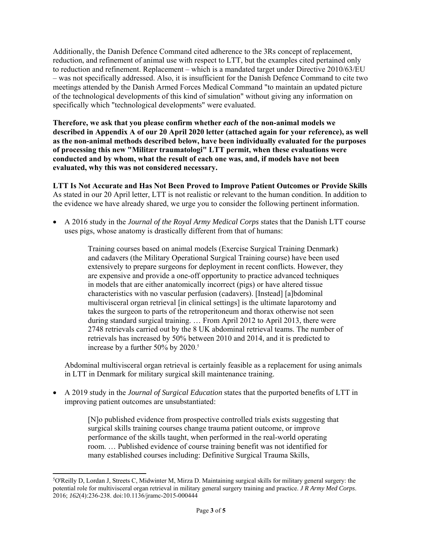Additionally, the Danish Defence Command cited adherence to the 3Rs concept of replacement, reduction, and refinement of animal use with respect to LTT, but the examples cited pertained only to reduction and refinement. Replacement – which is a mandated target under Directive 2010/63/EU – was not specifically addressed. Also, it is insufficient for the Danish Defence Command to cite two meetings attended by the Danish Armed Forces Medical Command "to maintain an updated picture of the technological developments of this kind of simulation" without giving any information on specifically which "technological developments" were evaluated.

**Therefore, we ask that you please confirm whether** *each* **of the non-animal models we described in Appendix A of our 20 April 2020 letter (attached again for your reference), as well as the non-animal methods described below, have been individually evaluated for the purposes of processing this new "Militær traumatologi" LTT permit, when these evaluations were conducted and by whom, what the result of each one was, and, if models have not been evaluated, why this was not considered necessary.** 

**LTT Is Not Accurate and Has Not Been Proved to Improve Patient Outcomes or Provide Skills**  As stated in our 20 April letter, LTT is not realistic or relevant to the human condition. In addition to the evidence we have already shared, we urge you to consider the following pertinent information.

 A 2016 study in the *Journal of the Royal Army Medical Corps* states that the Danish LTT course uses pigs, whose anatomy is drastically different from that of humans:

> Training courses based on animal models (Exercise Surgical Training Denmark) and cadavers (the Military Operational Surgical Training course) have been used extensively to prepare surgeons for deployment in recent conflicts. However, they are expensive and provide a one-off opportunity to practice advanced techniques in models that are either anatomically incorrect (pigs) or have altered tissue characteristics with no vascular perfusion (cadavers). [Instead] [a]bdominal multivisceral organ retrieval [in clinical settings] is the ultimate laparotomy and takes the surgeon to parts of the retroperitoneum and thorax otherwise not seen during standard surgical training. … From April 2012 to April 2013, there were 2748 retrievals carried out by the 8 UK abdominal retrieval teams. The number of retrievals has increased by 50% between 2010 and 2014, and it is predicted to increase by a further 50% by 2020.<sup>5</sup>

Abdominal multivisceral organ retrieval is certainly feasible as a replacement for using animals in LTT in Denmark for military surgical skill maintenance training.

 A 2019 study in the *Journal of Surgical Education* states that the purported benefits of LTT in improving patient outcomes are unsubstantiated:

> [N]o published evidence from prospective controlled trials exists suggesting that surgical skills training courses change trauma patient outcome, or improve performance of the skills taught, when performed in the real-world operating room. … Published evidence of course training benefit was not identified for many established courses including: Definitive Surgical Trauma Skills,

<sup>5</sup> O'Reilly D, Lordan J, Streets C, Midwinter M, Mirza D. Maintaining surgical skills for military general surgery: the potential role for multivisceral organ retrieval in military general surgery training and practice. *J R Army Med Corps*. 2016; *162*(4):236-238. doi:10.1136/jramc-2015-000444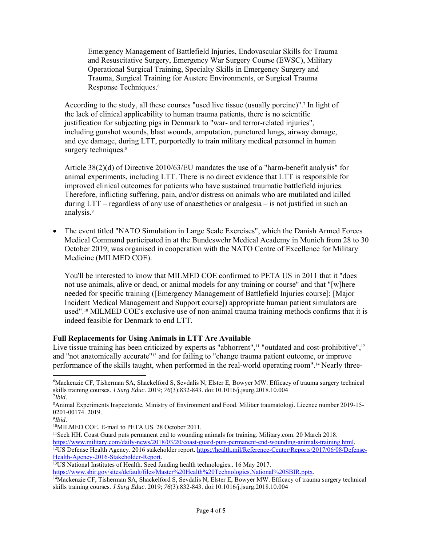Emergency Management of Battlefield Injuries, Endovascular Skills for Trauma and Resuscitative Surgery, Emergency War Surgery Course (EWSC), Military Operational Surgical Training, Specialty Skills in Emergency Surgery and Trauma, Surgical Training for Austere Environments, or Surgical Trauma Response Techniques.6

According to the study, all these courses "used live tissue (usually porcine)".7 In light of the lack of clinical applicability to human trauma patients, there is no scientific justification for subjecting pigs in Denmark to "war- and terror-related injuries", including gunshot wounds, blast wounds, amputation, punctured lungs, airway damage, and eye damage, during LTT, purportedly to train military medical personnel in human surgery techniques.<sup>8</sup>

Article 38(2)(d) of Directive 2010/63/EU mandates the use of a "harm-benefit analysis" for animal experiments, including LTT. There is no direct evidence that LTT is responsible for improved clinical outcomes for patients who have sustained traumatic battlefield injuries. Therefore, inflicting suffering, pain, and/or distress on animals who are mutilated and killed during LTT – regardless of any use of anaesthetics or analgesia – is not justified in such an analysis.9

 The event titled "NATO Simulation in Large Scale Exercises", which the Danish Armed Forces Medical Command participated in at the Bundeswehr Medical Academy in Munich from 28 to 30 October 2019, was organised in cooperation with the NATO Centre of Excellence for Military Medicine (MILMED COE).

You'll be interested to know that MILMED COE confirmed to PETA US in 2011 that it "does not use animals, alive or dead, or animal models for any training or course" and that "[w]here needed for specific training ([Emergency Management of Battlefield Injuries course]; [Major Incident Medical Management and Support course]) appropriate human patient simulators are used".10 MILMED COE's exclusive use of non-animal trauma training methods confirms that it is indeed feasible for Denmark to end LTT.

## **Full Replacements for Using Animals in LTT Are Available**

Live tissue training has been criticized by experts as "abhorrent",<sup>11</sup> "outdated and cost-prohibitive",<sup>12</sup> and "not anatomically accurate"13 and for failing to "change trauma patient outcome, or improve performance of the skills taught, when performed in the real-world operating room".14 Nearly three-

https://www.military.com/daily-news/2018/03/20/coast-guard-puts-permanent-end-wounding-animals-training.html.<br><sup>12</sup>US Defense Health Agency. 2016 stakeholder report. https://health.mil/Reference-Center/Reports/2017/06/08/De

<sup>6</sup> Mackenzie CF, Tisherman SA, Shackelford S, Sevdalis N, Elster E, Bowyer MW. Efficacy of trauma surgery technical skills training courses. *J Surg Educ*. 2019; *76*(3):832-843. doi:10.1016/j.jsurg.2018.10.004 7 *Ibid*. 8

Animal Experiments Inspectorate, Ministry of Environment and Food. Militær traumatologi. Licence number 2019-15- 0201-00174. 2019.

<sup>&</sup>lt;sup>9</sup>Ibid.

<sup>&</sup>lt;sup>10</sup>MILMED COE. E-mail to PETA US. 28 October 2011.

<sup>&</sup>lt;sup>11</sup>Seck HH. Coast Guard puts permanent end to wounding animals for training. Military.com. 20 March 2018.

Health-Agency-2016-State holders-Report. 13US National Institutes of Health. Seed funding health technologies.. 16 May 2017.<br>https://www.sbir.gov/sites/default/files/Master%20Health%20Technologies.National%20SBIR.pptx.

<sup>&</sup>lt;sup>14</sup>Mackenzie CF, Tisherman SA, Shackelford S, Sevdalis N, Elster E, Bowyer MW. Efficacy of trauma surgery technical skills training courses. *J Surg Educ*. 2019; *76*(3):832-843. doi:10.1016/j.jsurg.2018.10.004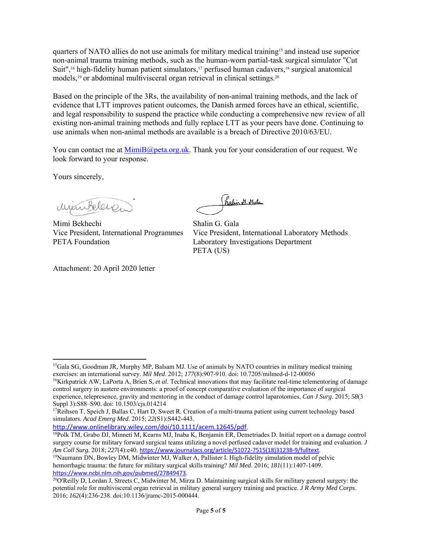quarters of NATO allies do not use animals for military medical training<sup>15</sup> and instead use superior non-animal trauma training methods, such as the human-worn partial-task surgical simulator "Cut Suit",<sup>16</sup> high-fidelity human patient simulators,<sup>17</sup> perfused human cadavers,<sup>18</sup> surgical anatomical models,<sup>19</sup> or abdominal multivisceral organ retrieval in clinical settings.<sup>20</sup>

Based on the principle of the 3Rs, the availability of non-animal training methods, and the lack of evidence that LTT improves patient outcomes, the Danish armed forces have an ethical, scientific, and legal responsibility to suspend the practice while conducting a comprehensive new review of all existing non-animal training methods and fully replace LTT as your peers have done. Continuing to use animals when non-animal methods are available is a breach of Directive 2010/63/EU.

You can contact me at  $\frac{\text{MimiB}(@peta.org.uk. }$  Thank you for your consideration of our request. We look forward to your response.

Yours sincerely,

Minibeleren

Mimi Bekhechi Shalin G. Gala PETA Foundation Laboratory Investigations Department

Attachment: 20 April 2020 letter

(halin & Flala

Vice President, International Programmes Vice President, International Laboratory Methods PETA (US)

 <sup>15</sup>Gala SG, Goodman JR, Murphy MP, Balsam MJ. Use of animals by NATO countries in military medical training

exercises: an international survey. Mil Med. 2012; 177(8):907-910. doi: 10.7205/milmed-d-12-00056<br><sup>16</sup>Kirkpatrick AW, LaPorta A, Brien S, et al. Technical innovations that may facilitate real-time telementoring of damage control surgery in austere environments: a proof of concept comparative evaluation of the importance of surgical experience, telepresence, gravity and mentoring in the conduct of damage control laparotomies. *Can J Surg*. 2015; *58*(3

Suppl 3):S88–S90. doi: 10.1503/cjs.014214<br><sup>17</sup>Reihsen T, Speich J, Ballas C, Hart D, Sweet R. Creation of a multi-trauma patient using current technology based simulators. *Acad Emerg Med*. 2015; *22*(S1):S442-443.

http://www.onlinelibrary.wiley.com/doi/10.1111/acem.12645/pdf.<br><sup>18</sup>Polk TM, Grabo DJ, Minneti M, Kearns MJ, Inaba K, Benjamin ER, Demetriades D. Initial report on a damage control surgery course for military forward surgical teams utilizing a novel perfused cadaver model for training and evaluation. *J Am Coll Surg*. 2018; *227*(4):e40. https://www.journalacs.org/article/S1072-7515(18)31238-9/fulltext. <sup>19</sup>Naumann DN, Bowley DM, Midwinter MJ, Walker A, Pallister I. High-fidelity simulation model of pelvic

hemorrhagic trauma: the future for military surgical skills training? *Mil Med*. 2016; *181*(11):1407-1409. https://www.ncbi.nlm.nih.gov/pubmed/27849473.<br><sup>20</sup>O'Reilly D, Lordan J, Streets C, Midwinter M, Mirza D. Maintaining surgical skills for military general surgery: the

potential role for multivisceral organ retrieval in military general surgery training and practice. *J R Army Med Corps*. 2016; *162*(4):236-238. doi:10.1136/jramc-2015-000444.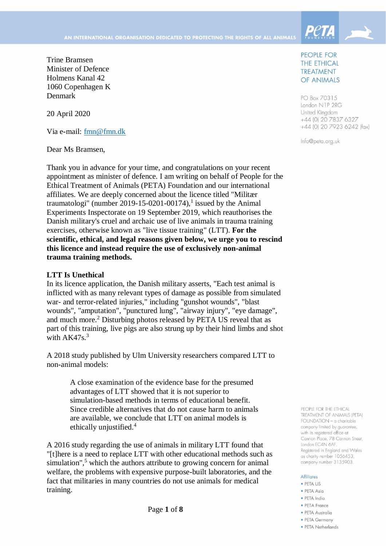

Trine Bramsen Minister of Defence Holmens Kanal 42 1060 Copenhagen K Denmark

20 April 2020

Via e-mail: [fmn@fmn.dk](mailto:fmn@fmn.dk)

Dear Ms Bramsen,

Thank you in advance for your time, and congratulations on your recent appointment as minister of defence. I am writing on behalf of People for the Ethical Treatment of Animals (PETA) Foundation and our international affiliates. We are deeply concerned about the licence titled "Militær traumatologi" (number 2019-15-0201-00174), 1 issued by the Animal Experiments Inspectorate on 19 September 2019, which reauthorises the Danish military's cruel and archaic use of live animals in trauma training exercises, otherwise known as "live tissue training" (LTT). **For the scientific, ethical, and legal reasons given below, we urge you to rescind this licence and instead require the use of exclusively non-animal trauma training methods.**

#### **LTT Is Unethical**

In its licence application, the Danish military asserts, "Each test animal is inflicted with as many relevant types of damage as possible from simulated war- and terror-related injuries," including "gunshot wounds", "blast wounds", "amputation", "punctured lung", "airway injury", "eye damage", and much more.<sup>2</sup> Disturbing photos released by PETA US reveal that as part of this training, live pigs are also strung up by their hind limbs and shot with  $AK47s.<sup>3</sup>$ 

A 2018 study published by Ulm University researchers compared LTT to non-animal models:

> A close examination of the evidence base for the presumed advantages of LTT showed that it is not superior to simulation-based methods in terms of educational benefit. Since credible alternatives that do not cause harm to animals are available, we conclude that LTT on animal models is ethically unjustified.<sup>4</sup>

A 2016 study regarding the use of animals in military LTT found that "[t]here is a need to replace LTT with other educational methods such as simulation", <sup>5</sup> which the authors attribute to growing concern for animal welfare, the problems with expensive purpose-built laboratories, and the fact that militaries in many countries do not use animals for medical training.

Page **1** of **8**

## PEOPLE FOR **THE ETHICAL TREATMENT** OF ANIMALS

PO Box 70315 London N1P 2RG United Kingdom +44 (0) 20 7837 6327 +44 (0) 20 7923 6242 (fax)

Info@peta.org.uk

PEOPLE FOR THE FTHICAL TREATMENT OF ANIMALS (PETA) FOUNDATION - a charitable company limited by guarantee, with its reaistered office at Cannon Place, 78 Cannon Street, London EC4N 6AF. Registered in England and Wales as charity number 1056453, company number 3135903.

#### **Affiliates**

- · PETA US
- · PETA Asia
- · PETA India
- PETA France
- · PETA Australia
- PFTA Germany
- · PETA Netherlands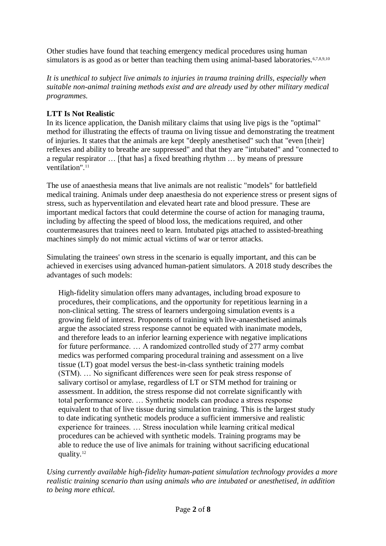Other studies have found that teaching emergency medical procedures using human simulators is as good as or better than teaching them using animal-based laboratories.<sup>6,7,8,9,10</sup>

*It is unethical to subject live animals to injuries in trauma training drills, especially when suitable non-animal training methods exist and are already used by other military medical programmes.* 

# **LTT Is Not Realistic**

In its licence application, the Danish military claims that using live pigs is the "optimal" method for illustrating the effects of trauma on living tissue and demonstrating the treatment of injuries. It states that the animals are kept "deeply anesthetised" such that "even [their] reflexes and ability to breathe are suppressed" and that they are "intubated" and "connected to a regular respirator … [that has] a fixed breathing rhythm … by means of pressure ventilation". 11

The use of anaesthesia means that live animals are not realistic "models" for battlefield medical training. Animals under deep anaesthesia do not experience stress or present signs of stress, such as hyperventilation and elevated heart rate and blood pressure. These are important medical factors that could determine the course of action for managing trauma, including by affecting the speed of blood loss, the medications required, and other countermeasures that trainees need to learn. Intubated pigs attached to assisted-breathing machines simply do not mimic actual victims of war or terror attacks.

Simulating the trainees' own stress in the scenario is equally important, and this can be achieved in exercises using advanced human-patient simulators. A 2018 study describes the advantages of such models:

High-fidelity simulation offers many advantages, including broad exposure to procedures, their complications, and the opportunity for repetitious learning in a non-clinical setting. The stress of learners undergoing simulation events is a growing field of interest. Proponents of training with live-anaesthetised animals argue the associated stress response cannot be equated with inanimate models, and therefore leads to an inferior learning experience with negative implications for future performance. … A randomized controlled study of 277 army combat medics was performed comparing procedural training and assessment on a live tissue (LT) goat model versus the best-in-class synthetic training models (STM). … No significant differences were seen for peak stress response of salivary cortisol or amylase, regardless of LT or STM method for training or assessment. In addition, the stress response did not correlate significantly with total performance score. … Synthetic models can produce a stress response equivalent to that of live tissue during simulation training. This is the largest study to date indicating synthetic models produce a sufficient immersive and realistic experience for trainees. … Stress inoculation while learning critical medical procedures can be achieved with synthetic models. Training programs may be able to reduce the use of live animals for training without sacrificing educational quality.<sup>12</sup>

*Using currently available high-fidelity human-patient simulation technology provides a more realistic training scenario than using animals who are intubated or anesthetised, in addition to being more ethical.*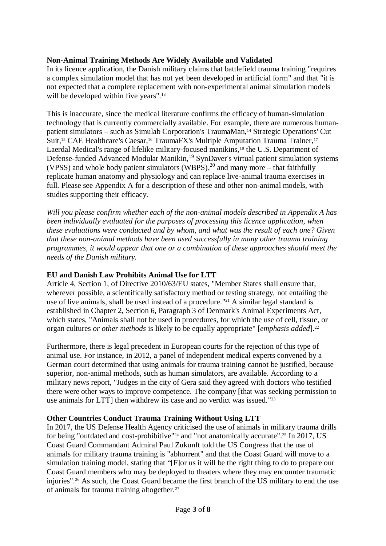## **Non-Animal Training Methods Are Widely Available and Validated**

In its licence application, the Danish military claims that battlefield trauma training "requires a complex simulation model that has not yet been developed in artificial form" and that "it is not expected that a complete replacement with non-experimental animal simulation models will be developed within five years".<sup>13</sup>

This is inaccurate, since the medical literature confirms the efficacy of human-simulation technology that is currently commercially available. For example, there are numerous humanpatient simulators – such as Simulab Corporation's TraumaMan,<sup>14</sup> Strategic Operations' Cut Suit,<sup>15</sup> CAE Healthcare's Caesar,<sup>16</sup> TraumaFX's Multiple Amputation Trauma Trainer,<sup>17</sup> Laerdal Medical's range of lifelike military-focused manikins,<sup>18</sup> the U.S. Department of Defense-funded Advanced Modular Manikin,<sup>19</sup> SynDaver's virtual patient simulation systems (VPSS) and whole body patient simulators (WBPS), $^{20}$  and many more – that faithfully replicate human anatomy and physiology and can replace live-animal trauma exercises in full. Please see Appendix A for a description of these and other non-animal models, with studies supporting their efficacy.

*Will you please confirm whether each of the non-animal models described in Appendix A has been individually evaluated for the purposes of processing this licence application, when these evaluations were conducted and by whom, and what was the result of each one? Given that these non-animal methods have been used successfully in many other trauma training programmes, it would appear that one or a combination of these approaches should meet the needs of the Danish military.*

## **EU and Danish Law Prohibits Animal Use for LTT**

Article 4, Section 1, of Directive 2010/63/EU states, "Member States shall ensure that, wherever possible, a scientifically satisfactory method or testing strategy, not entailing the use of live animals, shall be used instead of a procedure." <sup>21</sup> A similar legal standard is established in Chapter 2, Section 6, Paragraph 3 of Denmark's Animal Experiments Act, which states, "Animals shall not be used in procedures, for which the use of cell, tissue, or organ cultures *or other methods* is likely to be equally appropriate" [*emphasis added*].<sup>22</sup>

Furthermore, there is legal precedent in European courts for the rejection of this type of animal use. For instance, in 2012, a panel of independent medical experts convened by a German court determined that using animals for trauma training cannot be justified, because superior, non-animal methods, such as human simulators, are available. According to a military news report, "Judges in the city of Gera said they agreed with doctors who testified there were other ways to improve competence. The company [that was seeking permission to use animals for LTT] then withdrew its case and no verdict was issued."<sup>23</sup>

## **Other Countries Conduct Trauma Training Without Using LTT**

In 2017, the US Defense Health Agency criticised the use of animals in military trauma drills for being "outdated and cost-prohibitive"<sup>24</sup> and "not anatomically accurate".<sup>25</sup> In 2017, US Coast Guard Commandant Admiral Paul Zukunft told the US Congress that the use of animals for military trauma training is "abhorrent" and that the Coast Guard will move to a simulation training model, stating that "[F]or us it will be the right thing to do to prepare our Coast Guard members who may be deployed to theaters where they may encounter traumatic injuries". <sup>26</sup> As such, the Coast Guard became the first branch of the US military to end the use of animals for trauma training altogether.<sup>27</sup>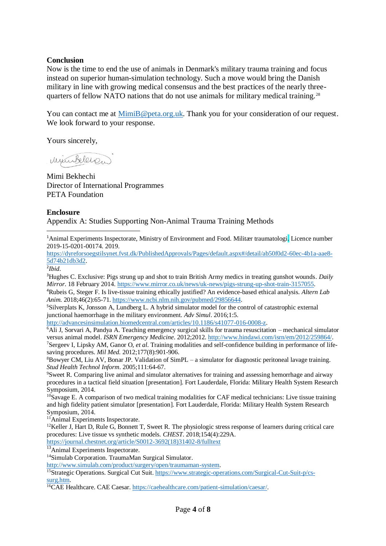## **Conclusion**

Now is the time to end the use of animals in Denmark's military trauma training and focus instead on superior human-simulation technology. Such a move would bring the Danish military in line with growing medical consensus and the best practices of the nearly threequarters of fellow NATO nations that do not use animals for military medical training.<sup>28</sup>

You can contact me at [MimiB@peta.org.uk.](mailto:MimiB@peta.org.uk) Thank you for your consideration of our request. We look forward to your response.

Yours sincerely,

winklers.

Mimi Bekhechi Director of International Programmes PETA Foundation

#### **Enclosure**

Appendix A: Studies Supporting Non-Animal Trauma Training Methods

<sup>1</sup>Animal Experiments Inspectorate, Ministry of Environment and Food. Militær traumatologi. Licence number 2019-15-0201-00174. 2019.

[https://dyreforsoegstilsynet.fvst.dk/PublishedApprovals/Pages/default.aspx#/detail/ab50f0d2-60ec-4b1a-aae8-](https://dyreforsoegstilsynet.fvst.dk/PublishedApprovals/Pages/default.aspx#/detail/ab50f0d2-60ec-4b1a-aae8-5d74b21db3d2) [5d74b21db3d2.](https://dyreforsoegstilsynet.fvst.dk/PublishedApprovals/Pages/default.aspx#/detail/ab50f0d2-60ec-4b1a-aae8-5d74b21db3d2)

2 *Ibid*.

1

<sup>3</sup>Hughes C. Exclusive: Pigs strung up and shot to train British Army medics in treating gunshot wounds. *Daily Mirror*. 18 February 2014. [https://www.mirror.co.uk/news/uk-news/pigs-strung-up-shot-train-3157055.](https://www.mirror.co.uk/news/uk-news/pigs-strung-up-shot-train-3157055)

<sup>4</sup>Rubeis G, Steger F. Is live-tissue training ethically justified? An evidence-based ethical analysis. *Altern Lab Anim*. 2018;46(2):65-71. [https://www.ncbi.nlm.nih.gov/pubmed/29856644.](https://www.ncbi.nlm.nih.gov/pubmed/29856644)

<sup>5</sup>Silverplats K, Jonsson A, Lundberg L. A hybrid simulator model for the control of catastrophic external junctional haemorrhage in the military environment. *Adv Simul*. 2016;1:5.

[http://advancesinsimulation.biomedcentral.com/articles/10.1186/s41077-016-0008-z.](http://advancesinsimulation.biomedcentral.com/articles/10.1186/s41077-016-0008-z)

 $\overline{6}$ Ali J, Sorvari A, Pandya A. Teaching emergency surgical skills for trauma resuscitation – mechanical simulator versus animal model. *ISRN Emergency Medicine*. 2012;2012. [http://www.hindawi.com/isrn/em/2012/259864/.](http://www.hindawi.com/isrn/em/2012/259864/)

7Sergeev I, Lipsky AM, Ganor O, *et al*. Training modalities and self-confidence building in performance of lifesaving procedures. *Mil Med*. 2012;177(8):901-906.

 $8Bowyer CM$ , Liu AV, Bonar JP. Validation of SimPL – a simulator for diagnostic peritoneal lavage training. *Stud Health Technol Inform*. 2005;111:64-67.

<sup>9</sup>Sweet R. Comparing live animal and simulator alternatives for training and assessing hemorrhage and airway procedures in a tactical field situation [presentation]. Fort Lauderdale, Florida: Military Health System Research Symposium, 2014.

 $10$ Savage E. A comparison of two medical training modalities for CAF medical technicians: Live tissue training and high fidelity patient simulator [presentation]. Fort Lauderdale, Florida: Military Health System Research Symposium, 2014.

<sup>11</sup>Animal Experiments Inspectorate.

 $12$ Keller J, Hart D, Rule G, Bonnett T, Sweet R. The physiologic stress response of learners during critical care procedures: Live tissue vs synthetic models. *CHEST*. 2018;154(4):229A.

[https://journal.chestnet.org/article/S0012-3692\(18\)31402-8/fulltext](https://journal.chestnet.org/article/S0012-3692(18)31402-8/fulltext)

<sup>13</sup>Animal Experiments Inspectorate.

<sup>14</sup>Simulab Corporation. TraumaMan Surgical Simulator.

[http://www.simulab.com/product/surgery/open/traumaman-system.](http://www.simulab.com/product/surgery/open/traumaman-system)

15Strategic Operations. Surgical Cut Suit[. https://www.strategic-operations.com/Surgical-Cut-Suit-p/cs](https://www.strategic-operations.com/Surgical-Cut-Suit-p/cs-surg.htm)[surg.htm.](https://www.strategic-operations.com/Surgical-Cut-Suit-p/cs-surg.htm) 

<sup>16</sup>CAE Healthcare. CAE Caesar. [https://caehealthcare.com/patient-simulation/caesar/.](https://caehealthcare.com/patient-simulation/caesar/)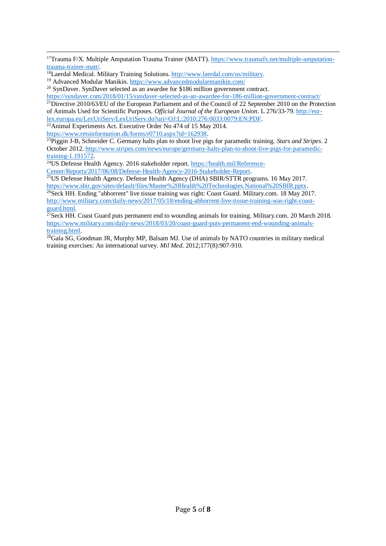**.** <sup>17</sup>Trauma F/X. Multiple Amputation Trauma Trainer (MATT). [https://www.traumafx.net/multiple-amputation](https://www.traumafx.net/multiple-amputation-trauma-trainer-matt/)[trauma-trainer-matt/.](https://www.traumafx.net/multiple-amputation-trauma-trainer-matt/)

<sup>19</sup> Advanced Modular Manikin.<https://www.advancedmodularmanikin.com/>

<sup>20</sup> SynDaver. SynDaver selected as an awardee for \$186 million government contract.

<https://syndaver.com/2018/01/15/syndaver-selected-as-an-awardee-for-186-million-government-contract/> <sup>21</sup>Directive 2010/63/EU of the European Parliament and of the Council of 22 September 2010 on the Protection

of Animals Used for Scientific Purposes. *Official Journal of the European Union*. L 276/33-79[. http://eur](http://eur-lex.europa.eu/LexUriServ/LexUriServ.do?uri=OJ:L:2010:276:0033:0079:EN:PDF)[lex.europa.eu/LexUriServ/LexUriServ.do?uri=OJ:L:2010:276:0033:0079:EN:PDF.](http://eur-lex.europa.eu/LexUriServ/LexUriServ.do?uri=OJ:L:2010:276:0033:0079:EN:PDF)

<sup>22</sup> Animal Experiments Act. Executive Order No 474 of 15 May 2014.

[https://www.retsinformation.dk/forms/r0710.aspx?id=162938.](https://www.retsinformation.dk/forms/r0710.aspx?id=162938)

<sup>23</sup>Piggin J-B, Schneider C. Germany halts plan to shoot live pigs for paramedic training. *Stars and Stripes*. 2 October 2012[. http://www.stripes.com/news/europe/germany-halts-plan-to-shoot-live-pigs-for-paramedic](http://www.stripes.com/news/europe/germany-halts-plan-to-shoot-live-pigs-for-paramedic-training-1.191572)[training-1.191572.](http://www.stripes.com/news/europe/germany-halts-plan-to-shoot-live-pigs-for-paramedic-training-1.191572)

<sup>24</sup>US Defense Health Agency. 2016 stakeholder report. [https://health.mil/Reference-](https://health.mil/Reference-Center/Reports/2017/06/08/Defense-Health-Agency-2016-Stakeholder-Report)[Center/Reports/2017/06/08/Defense-Health-Agency-2016-Stakeholder-Report.](https://health.mil/Reference-Center/Reports/2017/06/08/Defense-Health-Agency-2016-Stakeholder-Report)

 $^{25}$ US Defense Health Agency. Defense Health Agency (DHA) SBIR/STTR programs. 16 May 2017. [https://www.sbir.gov/sites/default/files/Master%20Health%20Technologies.National%20SBIR.pptx.](https://www.sbir.gov/sites/default/files/Master%20Health%20Technologies.National%20SBIR.pptx)

 $^{26}$ Seck HH. Ending "abhorrent" live tissue training was right: Coast Guard. Military.com. 18 May 2017. [http://www.military.com/daily-news/2017/05/18/ending-abhorrent-live-tissue-training-was-right-coast](http://www.military.com/daily-news/2017/05/18/ending-abhorrent-live-tissue-training-was-right-coast-guard.html)[guard.html.](http://www.military.com/daily-news/2017/05/18/ending-abhorrent-live-tissue-training-was-right-coast-guard.html)

 $^{27}$ Seck HH. Coast Guard puts permanent end to wounding animals for training. Military.com. 20 March 2018. [https://www.military.com/daily-news/2018/03/20/coast-guard-puts-permanent-end-wounding-animals](https://www.military.com/daily-news/2018/03/20/coast-guard-puts-permanent-end-wounding-animals-training.html)[training.html.](https://www.military.com/daily-news/2018/03/20/coast-guard-puts-permanent-end-wounding-animals-training.html)

 $\frac{28}{9}$ Gala SG, Goodman JR, Murphy MP, Balsam MJ. Use of animals by NATO countries in military medical training exercises: An international survey. *Mil Med*. 2012;177(8):907-910.

<sup>18</sup>Laerdal Medical. Military Training Solutions[. http://www.laerdal.com/us/military.](http://www.laerdal.com/us/military)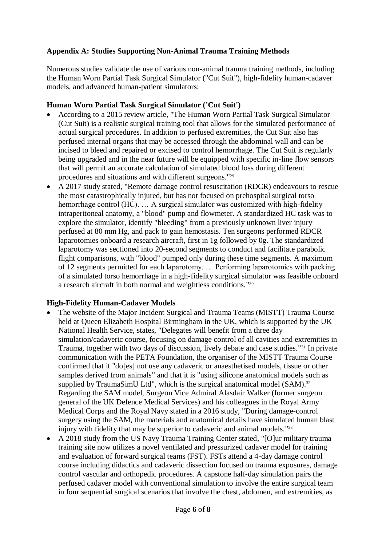# **Appendix A: Studies Supporting Non-Animal Trauma Training Methods**

Numerous studies validate the use of various non-animal trauma training methods, including the Human Worn Partial Task Surgical Simulator ("Cut Suit"), high-fidelity human-cadaver models, and advanced human-patient simulators:

## **Human Worn Partial Task Surgical Simulator ('Cut Suit')**

- According to a 2015 review article, "The Human Worn Partial Task Surgical Simulator (Cut Suit) is a realistic surgical training tool that allows for the simulated performance of actual surgical procedures. In addition to perfused extremities, the Cut Suit also has perfused internal organs that may be accessed through the abdominal wall and can be incised to bleed and repaired or excised to control hemorrhage. The Cut Suit is regularly being upgraded and in the near future will be equipped with specific in-line flow sensors that will permit an accurate calculation of simulated blood loss during different procedures and situations and with different surgeons." 29
- A 2017 study stated, "Remote damage control resuscitation (RDCR) endeavours to rescue the most catastrophically injured, but has not focused on prehospital surgical torso hemorrhage control (HC). … A surgical simulator was customized with high-fidelity intraperitoneal anatomy, a "blood" pump and flowmeter. A standardized HC task was to explore the simulator, identify "bleeding" from a previously unknown liver injury perfused at 80 mm Hg, and pack to gain hemostasis. Ten surgeons performed RDCR laparotomies onboard a research aircraft, first in 1g followed by 0g. The standardized laparotomy was sectioned into 20-second segments to conduct and facilitate parabolic flight comparisons, with "blood" pumped only during these time segments. A maximum of 12 segments permitted for each laparotomy. … Performing laparotomies with packing of a simulated torso hemorrhage in a high-fidelity surgical simulator was feasible onboard a research aircraft in both normal and weightless conditions."<sup>30</sup>

## **High-Fidelity Human-Cadaver Models**

- The website of the Major Incident Surgical and Trauma Teams (MISTT) Trauma Course held at Queen Elizabeth Hospital Birmingham in the UK, which is supported by the UK National Health Service, states, "Delegates will benefit from a three day simulation/cadaveric course, focusing on damage control of all cavities and extremities in Trauma, together with two days of discussion, lively debate and case studies."<sup>31</sup> In private communication with the PETA Foundation, the organiser of the MISTT Trauma Course confirmed that it "do[es] not use any cadaveric or anaesthetised models, tissue or other samples derived from animals" and that it is "using silicone anatomical models such as supplied by TraumaSimU Ltd", which is the surgical anatomical model (SAM).<sup>32</sup> Regarding the SAM model, Surgeon Vice Admiral Alasdair Walker (former surgeon general of the UK Defence Medical Services) and his colleagues in the Royal Army Medical Corps and the Royal Navy stated in a 2016 study, "During damage-control surgery using the SAM, the materials and anatomical details have simulated human blast injury with fidelity that may be superior to cadaveric and animal models."<sup>33</sup>
- A 2018 study from the US Navy Trauma Training Center stated, "[O]ur military trauma training site now utilizes a novel ventilated and pressurized cadaver model for training and evaluation of forward surgical teams (FST). FSTs attend a 4-day damage control course including didactics and cadaveric dissection focused on trauma exposures, damage control vascular and orthopedic procedures. A capstone half-day simulation pairs the perfused cadaver model with conventional simulation to involve the entire surgical team in four sequential surgical scenarios that involve the chest, abdomen, and extremities, as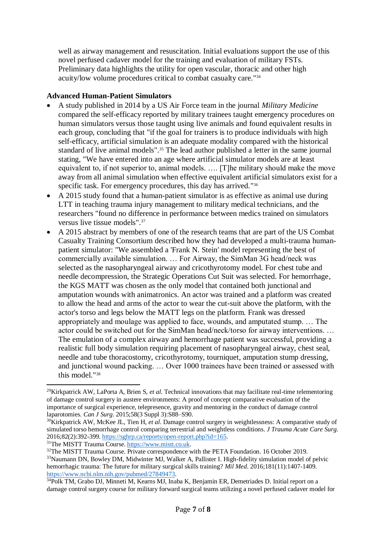well as airway management and resuscitation. Initial evaluations support the use of this novel perfused cadaver model for the training and evaluation of military FSTs. Preliminary data highlights the utility for open vascular, thoracic and other high acuity/low volume procedures critical to combat casualty care." 34

## **Advanced Human-Patient Simulators**

- A study published in 2014 by a US Air Force team in the journal *Military Medicine* compared the self-efficacy reported by military trainees taught emergency procedures on human simulators versus those taught using live animals and found equivalent results in each group, concluding that "if the goal for trainers is to produce individuals with high self-efficacy, artificial simulation is an adequate modality compared with the historical standard of live animal models". <sup>35</sup> The lead author published a letter in the same journal stating, "We have entered into an age where artificial simulator models are at least equivalent to, if not superior to, animal models. …. [T]he military should make the move away from all animal simulation when effective equivalent artificial simulators exist for a specific task. For emergency procedures, this day has arrived."<sup>36</sup>
- A 2015 study found that a human-patient simulator is as effective as animal use during LTT in teaching trauma injury management to military medical technicians, and the researchers "found no difference in performance between medics trained on simulators versus live tissue models". 37
- A 2015 abstract by members of one of the research teams that are part of the US Combat Casualty Training Consortium described how they had developed a multi-trauma humanpatient simulator: "We assembled a 'Frank N. Stein' model representing the best of commercially available simulation. … For Airway, the SimMan 3G head/neck was selected as the nasopharyngeal airway and cricothyrotomy model. For chest tube and needle decompression, the Strategic Operations Cut Suit was selected. For hemorrhage, the KGS MATT was chosen as the only model that contained both junctional and amputation wounds with animatronics. An actor was trained and a platform was created to allow the head and arms of the actor to wear the cut-suit above the platform, with the actor's torso and legs below the MATT legs on the platform. Frank was dressed appropriately and moulage was applied to face, wounds, and amputated stump. … The actor could be switched out for the SimMan head/neck/torso for airway interventions. … The emulation of a complex airway and hemorrhage patient was successful, providing a realistic full body simulation requiring placement of nasopharyngeal airway, chest seal, needle and tube thoracostomy, cricothyrotomy, tourniquet, amputation stump dressing, and junctional wound packing. … Over 1000 trainees have been trained or assessed with this model." 38

<sup>31</sup>The MISTT Trauma Course. [https://www.mistt.co.uk.](https://www.mistt.co.uk/)

**.** 

<sup>29</sup>Kirkpatrick AW, LaPorta A, Brien S, *et al*. Technical innovations that may facilitate real-time telementoring of damage control surgery in austere environments: A proof of concept comparative evaluation of the importance of surgical experience, telepresence, gravity and mentoring in the conduct of damage control laparotomies. *Can J Surg*. 2015;58(3 Suppl 3):S88–S90.

<sup>&</sup>lt;sup>30</sup>Kirkpatrick AW, McKee JL, Tien H, *et al.* Damage control surgery in weightlessness: A comparative study of simulated torso hemorrhage control comparing terrestrial and weightless conditions. *J Trauma Acute Care Surg*. 2016;82(2):392-399[. https://sghrp.ca/reports/open-report.php?id=165.](https://sghrp.ca/reports/open-report.php?id=165)

<sup>&</sup>lt;sup>32</sup>The MISTT Trauma Course. Private correspondence with the PETA Foundation. 16 October 2019.

<sup>&</sup>lt;sup>33</sup>Naumann DN, Bowley DM, Midwinter MJ, Walker A, Pallister I. High-fidelity simulation model of pelvic hemorrhagic trauma: The future for military surgical skills training? *Mil Med*. 2016;181(11):1407-1409. [https://www.ncbi.nlm.nih.gov/pubmed/27849473.](https://www.ncbi.nlm.nih.gov/pubmed/27849473)

<sup>&</sup>lt;sup>34</sup>Polk TM, Grabo DJ, Minneti M, Kearns MJ, Inaba K, Benjamin ER, Demetriades D. Initial report on a damage control surgery course for military forward surgical teams utilizing a novel perfused cadaver model for